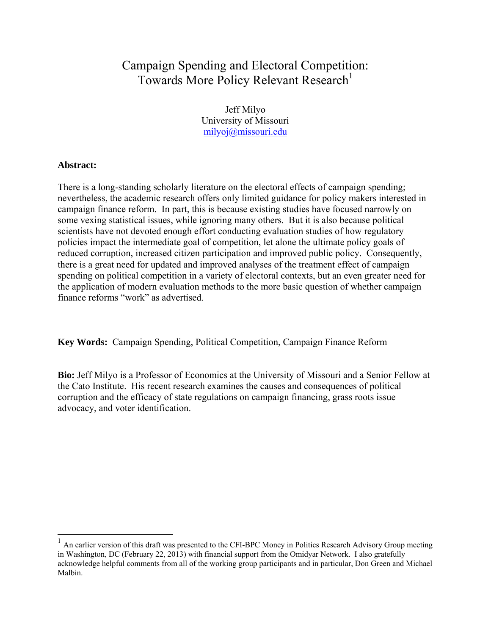# Campaign Spending and Electoral Competition: Towards More Policy Relevant Research<sup>1</sup>

Jeff Milyo University of Missouri milyoj@missouri.edu

# **Abstract:**

There is a long-standing scholarly literature on the electoral effects of campaign spending; nevertheless, the academic research offers only limited guidance for policy makers interested in campaign finance reform. In part, this is because existing studies have focused narrowly on some vexing statistical issues, while ignoring many others. But it is also because political scientists have not devoted enough effort conducting evaluation studies of how regulatory policies impact the intermediate goal of competition, let alone the ultimate policy goals of reduced corruption, increased citizen participation and improved public policy. Consequently, there is a great need for updated and improved analyses of the treatment effect of campaign spending on political competition in a variety of electoral contexts, but an even greater need for the application of modern evaluation methods to the more basic question of whether campaign finance reforms "work" as advertised.

**Key Words:** Campaign Spending, Political Competition, Campaign Finance Reform

**Bio:** Jeff Milyo is a Professor of Economics at the University of Missouri and a Senior Fellow at the Cato Institute. His recent research examines the causes and consequences of political corruption and the efficacy of state regulations on campaign financing, grass roots issue advocacy, and voter identification.

 $<sup>1</sup>$  An earlier version of this draft was presented to the CFI-BPC Money in Politics Research Advisory Group meeting</sup> in Washington, DC (February 22, 2013) with financial support from the Omidyar Network. I also gratefully acknowledge helpful comments from all of the working group participants and in particular, Don Green and Michael Malbin.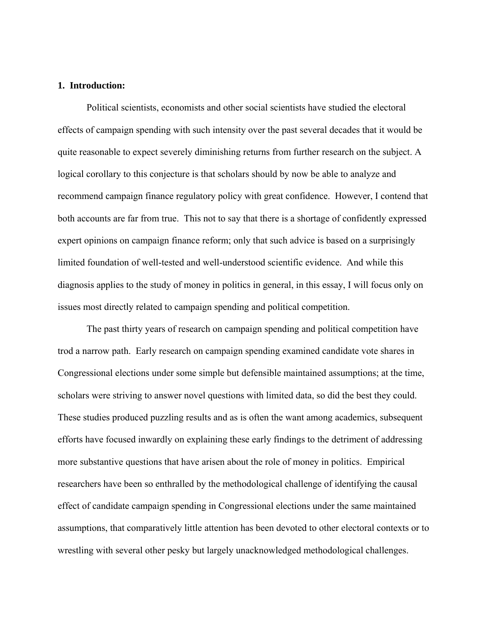# **1. Introduction:**

 Political scientists, economists and other social scientists have studied the electoral effects of campaign spending with such intensity over the past several decades that it would be quite reasonable to expect severely diminishing returns from further research on the subject. A logical corollary to this conjecture is that scholars should by now be able to analyze and recommend campaign finance regulatory policy with great confidence. However, I contend that both accounts are far from true. This not to say that there is a shortage of confidently expressed expert opinions on campaign finance reform; only that such advice is based on a surprisingly limited foundation of well-tested and well-understood scientific evidence. And while this diagnosis applies to the study of money in politics in general, in this essay, I will focus only on issues most directly related to campaign spending and political competition.

The past thirty years of research on campaign spending and political competition have trod a narrow path. Early research on campaign spending examined candidate vote shares in Congressional elections under some simple but defensible maintained assumptions; at the time, scholars were striving to answer novel questions with limited data, so did the best they could. These studies produced puzzling results and as is often the want among academics, subsequent efforts have focused inwardly on explaining these early findings to the detriment of addressing more substantive questions that have arisen about the role of money in politics. Empirical researchers have been so enthralled by the methodological challenge of identifying the causal effect of candidate campaign spending in Congressional elections under the same maintained assumptions, that comparatively little attention has been devoted to other electoral contexts or to wrestling with several other pesky but largely unacknowledged methodological challenges.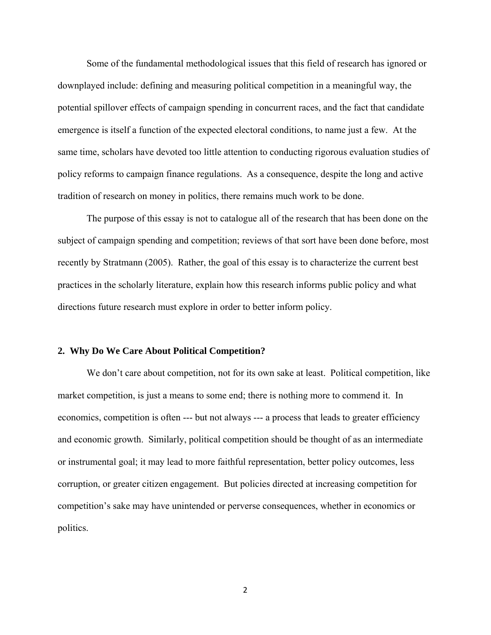Some of the fundamental methodological issues that this field of research has ignored or downplayed include: defining and measuring political competition in a meaningful way, the potential spillover effects of campaign spending in concurrent races, and the fact that candidate emergence is itself a function of the expected electoral conditions, to name just a few. At the same time, scholars have devoted too little attention to conducting rigorous evaluation studies of policy reforms to campaign finance regulations. As a consequence, despite the long and active tradition of research on money in politics, there remains much work to be done.

 The purpose of this essay is not to catalogue all of the research that has been done on the subject of campaign spending and competition; reviews of that sort have been done before, most recently by Stratmann (2005). Rather, the goal of this essay is to characterize the current best practices in the scholarly literature, explain how this research informs public policy and what directions future research must explore in order to better inform policy.

#### **2. Why Do We Care About Political Competition?**

 We don't care about competition, not for its own sake at least. Political competition, like market competition, is just a means to some end; there is nothing more to commend it. In economics, competition is often --- but not always --- a process that leads to greater efficiency and economic growth. Similarly, political competition should be thought of as an intermediate or instrumental goal; it may lead to more faithful representation, better policy outcomes, less corruption, or greater citizen engagement. But policies directed at increasing competition for competition's sake may have unintended or perverse consequences, whether in economics or politics.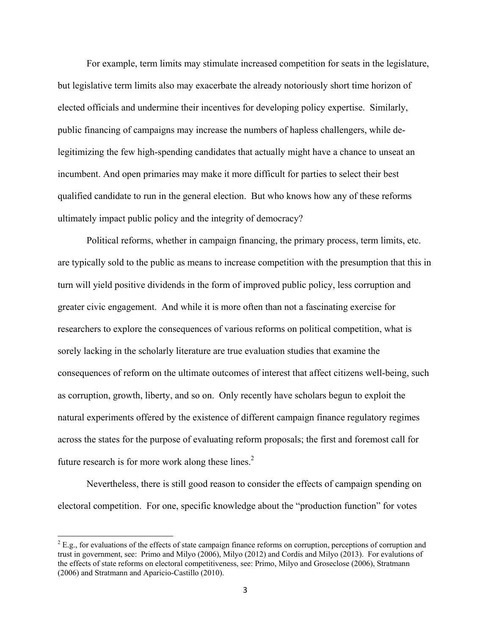For example, term limits may stimulate increased competition for seats in the legislature, but legislative term limits also may exacerbate the already notoriously short time horizon of elected officials and undermine their incentives for developing policy expertise. Similarly, public financing of campaigns may increase the numbers of hapless challengers, while delegitimizing the few high-spending candidates that actually might have a chance to unseat an incumbent. And open primaries may make it more difficult for parties to select their best qualified candidate to run in the general election. But who knows how any of these reforms ultimately impact public policy and the integrity of democracy?

 Political reforms, whether in campaign financing, the primary process, term limits, etc. are typically sold to the public as means to increase competition with the presumption that this in turn will yield positive dividends in the form of improved public policy, less corruption and greater civic engagement. And while it is more often than not a fascinating exercise for researchers to explore the consequences of various reforms on political competition, what is sorely lacking in the scholarly literature are true evaluation studies that examine the consequences of reform on the ultimate outcomes of interest that affect citizens well-being, such as corruption, growth, liberty, and so on. Only recently have scholars begun to exploit the natural experiments offered by the existence of different campaign finance regulatory regimes across the states for the purpose of evaluating reform proposals; the first and foremost call for future research is for more work along these lines. $2^2$ 

 Nevertheless, there is still good reason to consider the effects of campaign spending on electoral competition. For one, specific knowledge about the "production function" for votes

 $2^2$  E.g., for evaluations of the effects of state campaign finance reforms on corruption, perceptions of corruption and trust in government, see: Primo and Milyo (2006), Milyo (2012) and Cordis and Milyo (2013). For evalutions of the effects of state reforms on electoral competitiveness, see: Primo, Milyo and Groseclose (2006), Stratmann (2006) and Stratmann and Aparicio-Castillo (2010).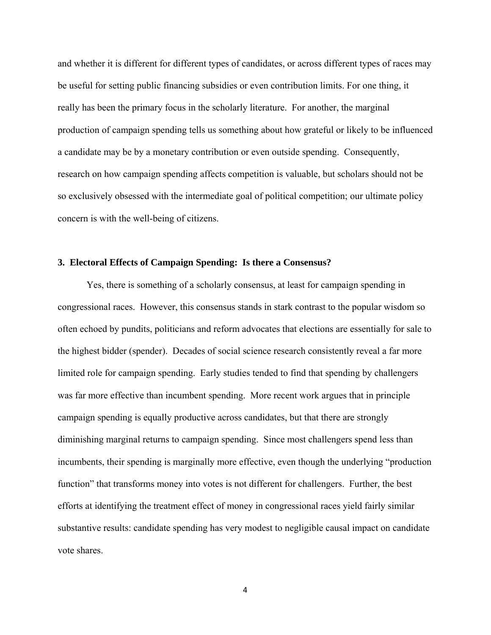and whether it is different for different types of candidates, or across different types of races may be useful for setting public financing subsidies or even contribution limits. For one thing, it really has been the primary focus in the scholarly literature. For another, the marginal production of campaign spending tells us something about how grateful or likely to be influenced a candidate may be by a monetary contribution or even outside spending. Consequently, research on how campaign spending affects competition is valuable, but scholars should not be so exclusively obsessed with the intermediate goal of political competition; our ultimate policy concern is with the well-being of citizens.

## **3. Electoral Effects of Campaign Spending: Is there a Consensus?**

 Yes, there is something of a scholarly consensus, at least for campaign spending in congressional races. However, this consensus stands in stark contrast to the popular wisdom so often echoed by pundits, politicians and reform advocates that elections are essentially for sale to the highest bidder (spender). Decades of social science research consistently reveal a far more limited role for campaign spending. Early studies tended to find that spending by challengers was far more effective than incumbent spending. More recent work argues that in principle campaign spending is equally productive across candidates, but that there are strongly diminishing marginal returns to campaign spending. Since most challengers spend less than incumbents, their spending is marginally more effective, even though the underlying "production function" that transforms money into votes is not different for challengers. Further, the best efforts at identifying the treatment effect of money in congressional races yield fairly similar substantive results: candidate spending has very modest to negligible causal impact on candidate vote shares.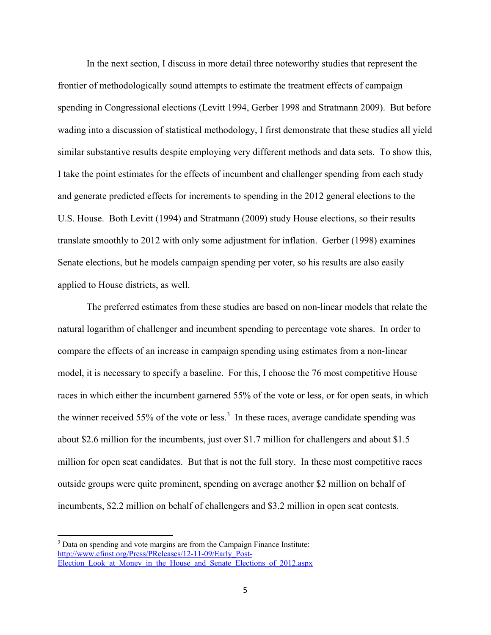In the next section, I discuss in more detail three noteworthy studies that represent the frontier of methodologically sound attempts to estimate the treatment effects of campaign spending in Congressional elections (Levitt 1994, Gerber 1998 and Stratmann 2009). But before wading into a discussion of statistical methodology, I first demonstrate that these studies all yield similar substantive results despite employing very different methods and data sets. To show this, I take the point estimates for the effects of incumbent and challenger spending from each study and generate predicted effects for increments to spending in the 2012 general elections to the U.S. House. Both Levitt (1994) and Stratmann (2009) study House elections, so their results translate smoothly to 2012 with only some adjustment for inflation. Gerber (1998) examines Senate elections, but he models campaign spending per voter, so his results are also easily applied to House districts, as well.

 The preferred estimates from these studies are based on non-linear models that relate the natural logarithm of challenger and incumbent spending to percentage vote shares. In order to compare the effects of an increase in campaign spending using estimates from a non-linear model, it is necessary to specify a baseline. For this, I choose the 76 most competitive House races in which either the incumbent garnered 55% of the vote or less, or for open seats, in which the winner received 55% of the vote or less.<sup>3</sup> In these races, average candidate spending was about \$2.6 million for the incumbents, just over \$1.7 million for challengers and about \$1.5 million for open seat candidates. But that is not the full story. In these most competitive races outside groups were quite prominent, spending on average another \$2 million on behalf of incumbents, \$2.2 million on behalf of challengers and \$3.2 million in open seat contests.

 $3$  Data on spending and vote margins are from the Campaign Finance Institute: http://www.cfinst.org/Press/PReleases/12-11-09/Early\_Post-Election Look at Money in the House and Senate Elections of 2012.aspx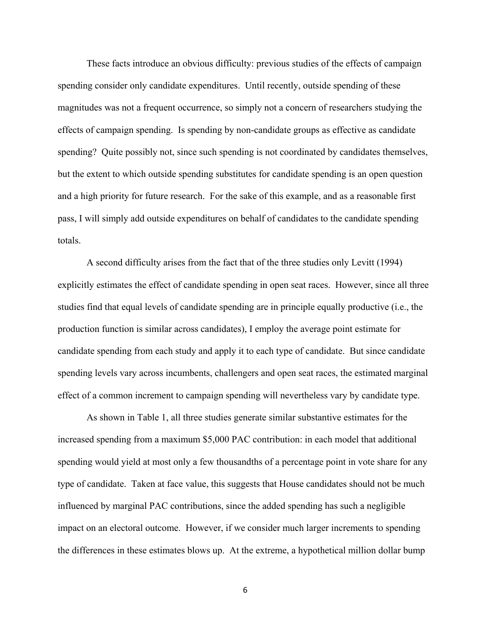These facts introduce an obvious difficulty: previous studies of the effects of campaign spending consider only candidate expenditures. Until recently, outside spending of these magnitudes was not a frequent occurrence, so simply not a concern of researchers studying the effects of campaign spending. Is spending by non-candidate groups as effective as candidate spending? Quite possibly not, since such spending is not coordinated by candidates themselves, but the extent to which outside spending substitutes for candidate spending is an open question and a high priority for future research. For the sake of this example, and as a reasonable first pass, I will simply add outside expenditures on behalf of candidates to the candidate spending totals.

 A second difficulty arises from the fact that of the three studies only Levitt (1994) explicitly estimates the effect of candidate spending in open seat races. However, since all three studies find that equal levels of candidate spending are in principle equally productive (i.e., the production function is similar across candidates), I employ the average point estimate for candidate spending from each study and apply it to each type of candidate. But since candidate spending levels vary across incumbents, challengers and open seat races, the estimated marginal effect of a common increment to campaign spending will nevertheless vary by candidate type.

 As shown in Table 1, all three studies generate similar substantive estimates for the increased spending from a maximum \$5,000 PAC contribution: in each model that additional spending would yield at most only a few thousandths of a percentage point in vote share for any type of candidate. Taken at face value, this suggests that House candidates should not be much influenced by marginal PAC contributions, since the added spending has such a negligible impact on an electoral outcome. However, if we consider much larger increments to spending the differences in these estimates blows up. At the extreme, a hypothetical million dollar bump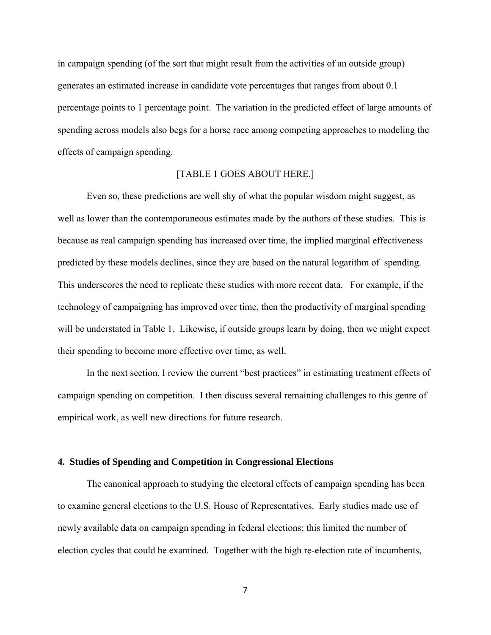in campaign spending (of the sort that might result from the activities of an outside group) generates an estimated increase in candidate vote percentages that ranges from about 0.1 percentage points to 1 percentage point. The variation in the predicted effect of large amounts of spending across models also begs for a horse race among competing approaches to modeling the effects of campaign spending.

# [TABLE 1 GOES ABOUT HERE.]

Even so, these predictions are well shy of what the popular wisdom might suggest, as well as lower than the contemporaneous estimates made by the authors of these studies. This is because as real campaign spending has increased over time, the implied marginal effectiveness predicted by these models declines, since they are based on the natural logarithm of spending. This underscores the need to replicate these studies with more recent data. For example, if the technology of campaigning has improved over time, then the productivity of marginal spending will be understated in Table 1. Likewise, if outside groups learn by doing, then we might expect their spending to become more effective over time, as well.

In the next section, I review the current "best practices" in estimating treatment effects of campaign spending on competition. I then discuss several remaining challenges to this genre of empirical work, as well new directions for future research.

#### **4. Studies of Spending and Competition in Congressional Elections**

 The canonical approach to studying the electoral effects of campaign spending has been to examine general elections to the U.S. House of Representatives. Early studies made use of newly available data on campaign spending in federal elections; this limited the number of election cycles that could be examined. Together with the high re-election rate of incumbents,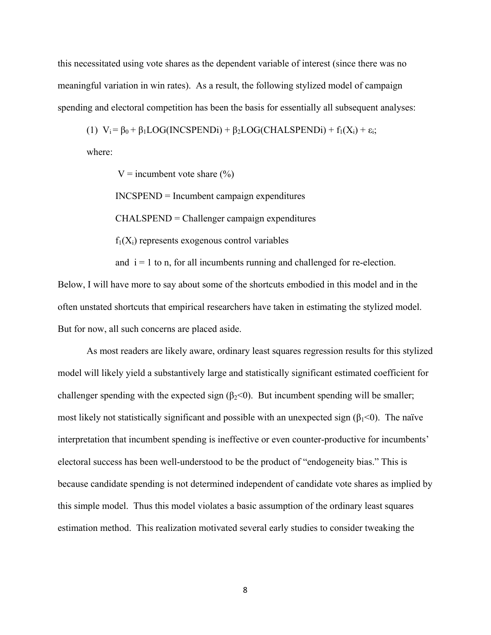this necessitated using vote shares as the dependent variable of interest (since there was no meaningful variation in win rates). As a result, the following stylized model of campaign spending and electoral competition has been the basis for essentially all subsequent analyses:

(1) 
$$
V_i = \beta_0 + \beta_1 LOG(INCSPENDi) + \beta_2 LOG(CHALSPENDi) + f_1(X_i) + \epsilon_i;
$$

where:

V = incumbent vote share  $(\% )$ 

INCSPEND = Incumbent campaign expenditures

CHALSPEND = Challenger campaign expenditures

 $f_1(X_i)$  represents exogenous control variables

and  $i = 1$  to n, for all incumbents running and challenged for re-election.

Below, I will have more to say about some of the shortcuts embodied in this model and in the often unstated shortcuts that empirical researchers have taken in estimating the stylized model. But for now, all such concerns are placed aside.

 As most readers are likely aware, ordinary least squares regression results for this stylized model will likely yield a substantively large and statistically significant estimated coefficient for challenger spending with the expected sign ( $\beta_2$ <0). But incumbent spending will be smaller; most likely not statistically significant and possible with an unexpected sign  $(\beta_1<0)$ . The naïve interpretation that incumbent spending is ineffective or even counter-productive for incumbents' electoral success has been well-understood to be the product of "endogeneity bias." This is because candidate spending is not determined independent of candidate vote shares as implied by this simple model. Thus this model violates a basic assumption of the ordinary least squares estimation method. This realization motivated several early studies to consider tweaking the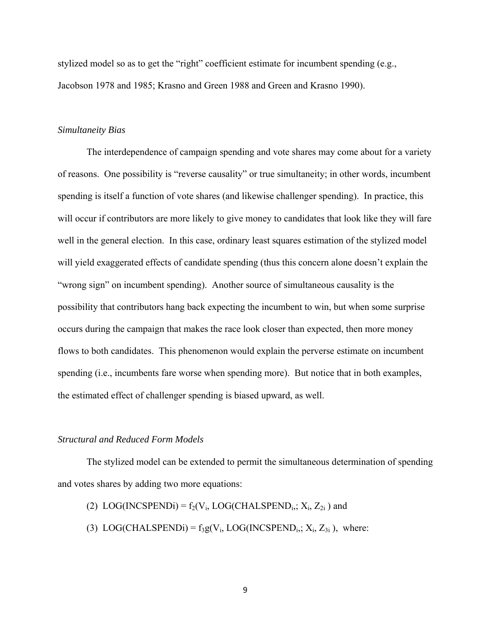stylized model so as to get the "right" coefficient estimate for incumbent spending (e.g., Jacobson 1978 and 1985; Krasno and Green 1988 and Green and Krasno 1990).

## *Simultaneity Bias*

 The interdependence of campaign spending and vote shares may come about for a variety of reasons. One possibility is "reverse causality" or true simultaneity; in other words, incumbent spending is itself a function of vote shares (and likewise challenger spending). In practice, this will occur if contributors are more likely to give money to candidates that look like they will fare well in the general election. In this case, ordinary least squares estimation of the stylized model will yield exaggerated effects of candidate spending (thus this concern alone doesn't explain the "wrong sign" on incumbent spending). Another source of simultaneous causality is the possibility that contributors hang back expecting the incumbent to win, but when some surprise occurs during the campaign that makes the race look closer than expected, then more money flows to both candidates. This phenomenon would explain the perverse estimate on incumbent spending (i.e., incumbents fare worse when spending more). But notice that in both examples, the estimated effect of challenger spending is biased upward, as well.

#### *Structural and Reduced Form Models*

 The stylized model can be extended to permit the simultaneous determination of spending and votes shares by adding two more equations:

- (2) LOG(INCSPENDi) =  $f_2(V_i, LOG(CHALSPEND_i; X_i, Z_{2i})$  and
- (3) LOG(CHALSPENDi) =  $f_3g(V_i, LOG(INCSPEND_i; X_i, Z_{3i})$ , where: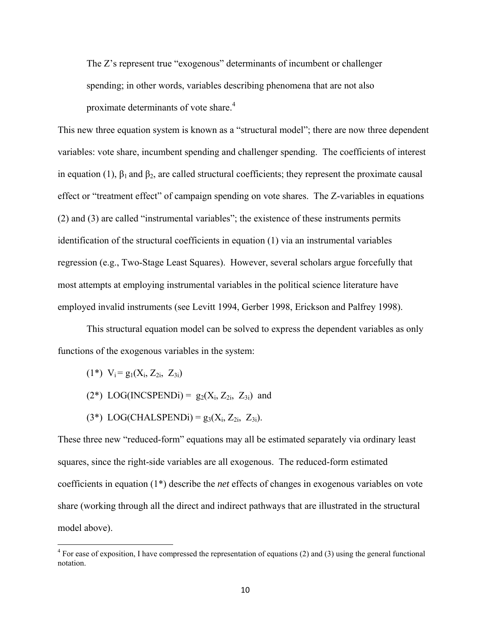The Z's represent true "exogenous" determinants of incumbent or challenger spending; in other words, variables describing phenomena that are not also proximate determinants of vote share.<sup>4</sup>

This new three equation system is known as a "structural model"; there are now three dependent variables: vote share, incumbent spending and challenger spending. The coefficients of interest in equation (1),  $\beta_1$  and  $\beta_2$ , are called structural coefficients; they represent the proximate causal effect or "treatment effect" of campaign spending on vote shares. The Z-variables in equations (2) and (3) are called "instrumental variables"; the existence of these instruments permits identification of the structural coefficients in equation (1) via an instrumental variables regression (e.g., Two-Stage Least Squares). However, several scholars argue forcefully that most attempts at employing instrumental variables in the political science literature have employed invalid instruments (see Levitt 1994, Gerber 1998, Erickson and Palfrey 1998).

 This structural equation model can be solved to express the dependent variables as only functions of the exogenous variables in the system:

 $(1^*)$  V<sub>i</sub> = g<sub>1</sub>(X<sub>i</sub>, Z<sub>2i</sub>, Z<sub>3i</sub>)

- $(2^*)$  LOG(INCSPENDi) =  $g_2(X_i, Z_{2i}, Z_{3i})$  and
- $(3^*)$  LOG(CHALSPENDi) =  $g_3(X_i, Z_{2i}, Z_{3i})$ .

These three new "reduced-form" equations may all be estimated separately via ordinary least squares, since the right-side variables are all exogenous. The reduced-form estimated coefficients in equation (1\*) describe the *net* effects of changes in exogenous variables on vote share (working through all the direct and indirect pathways that are illustrated in the structural model above).

 $4$  For ease of exposition, I have compressed the representation of equations (2) and (3) using the general functional notation.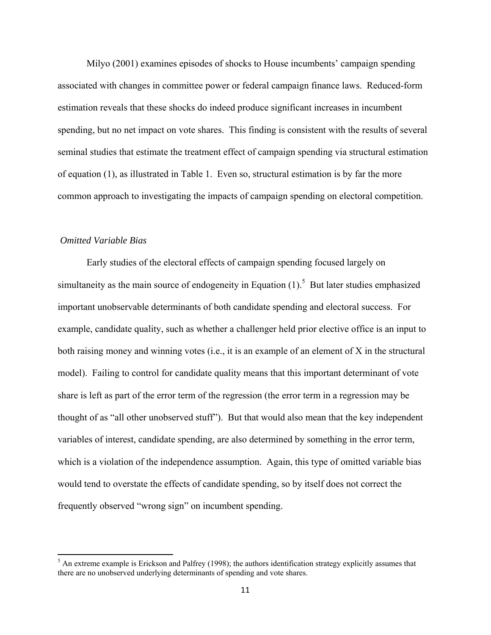Milyo (2001) examines episodes of shocks to House incumbents' campaign spending associated with changes in committee power or federal campaign finance laws. Reduced-form estimation reveals that these shocks do indeed produce significant increases in incumbent spending, but no net impact on vote shares. This finding is consistent with the results of several seminal studies that estimate the treatment effect of campaign spending via structural estimation of equation (1), as illustrated in Table 1. Even so, structural estimation is by far the more common approach to investigating the impacts of campaign spending on electoral competition.

# *Omitted Variable Bias*

 Early studies of the electoral effects of campaign spending focused largely on simultaneity as the main source of endogeneity in Equation  $(1)$ .<sup>5</sup> But later studies emphasized important unobservable determinants of both candidate spending and electoral success. For example, candidate quality, such as whether a challenger held prior elective office is an input to both raising money and winning votes (i.e., it is an example of an element of X in the structural model). Failing to control for candidate quality means that this important determinant of vote share is left as part of the error term of the regression (the error term in a regression may be thought of as "all other unobserved stuff"). But that would also mean that the key independent variables of interest, candidate spending, are also determined by something in the error term, which is a violation of the independence assumption. Again, this type of omitted variable bias would tend to overstate the effects of candidate spending, so by itself does not correct the frequently observed "wrong sign" on incumbent spending.

 $<sup>5</sup>$  An extreme example is Erickson and Palfrey (1998); the authors identification strategy explicitly assumes that</sup> there are no unobserved underlying determinants of spending and vote shares.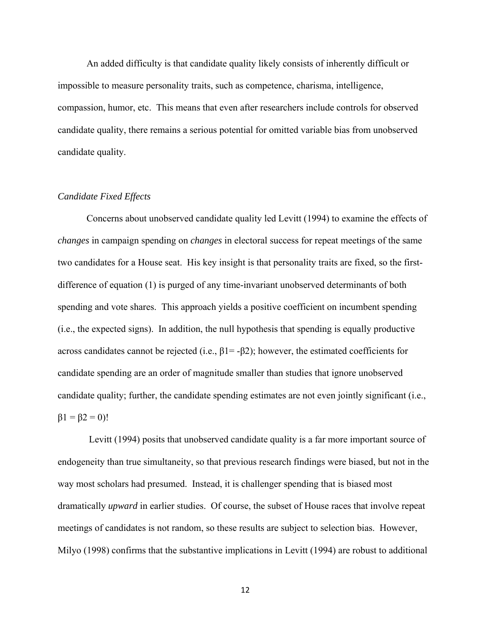An added difficulty is that candidate quality likely consists of inherently difficult or impossible to measure personality traits, such as competence, charisma, intelligence, compassion, humor, etc. This means that even after researchers include controls for observed candidate quality, there remains a serious potential for omitted variable bias from unobserved candidate quality.

## *Candidate Fixed Effects*

 Concerns about unobserved candidate quality led Levitt (1994) to examine the effects of *changes* in campaign spending on *changes* in electoral success for repeat meetings of the same two candidates for a House seat. His key insight is that personality traits are fixed, so the firstdifference of equation (1) is purged of any time-invariant unobserved determinants of both spending and vote shares. This approach yields a positive coefficient on incumbent spending (i.e., the expected signs). In addition, the null hypothesis that spending is equally productive across candidates cannot be rejected (i.e.,  $\beta$ 1= - $\beta$ 2); however, the estimated coefficients for candidate spending are an order of magnitude smaller than studies that ignore unobserved candidate quality; further, the candidate spending estimates are not even jointly significant (i.e.,  $\beta$ 1 =  $\beta$ 2 = 0)!

 Levitt (1994) posits that unobserved candidate quality is a far more important source of endogeneity than true simultaneity, so that previous research findings were biased, but not in the way most scholars had presumed. Instead, it is challenger spending that is biased most dramatically *upward* in earlier studies. Of course, the subset of House races that involve repeat meetings of candidates is not random, so these results are subject to selection bias. However, Milyo (1998) confirms that the substantive implications in Levitt (1994) are robust to additional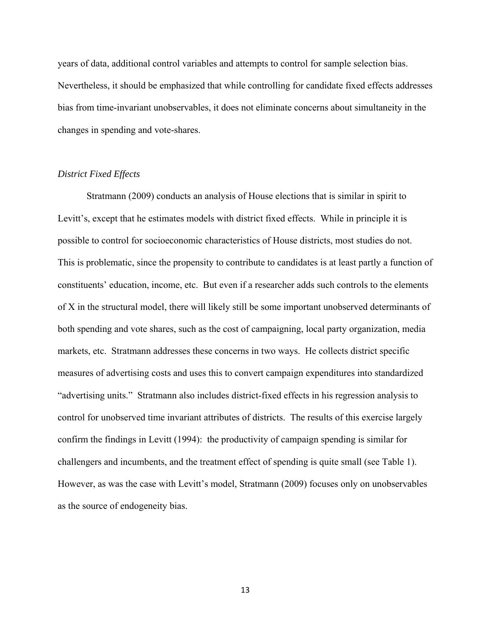years of data, additional control variables and attempts to control for sample selection bias. Nevertheless, it should be emphasized that while controlling for candidate fixed effects addresses bias from time-invariant unobservables, it does not eliminate concerns about simultaneity in the changes in spending and vote-shares.

## *District Fixed Effects*

 Stratmann (2009) conducts an analysis of House elections that is similar in spirit to Levitt's, except that he estimates models with district fixed effects. While in principle it is possible to control for socioeconomic characteristics of House districts, most studies do not. This is problematic, since the propensity to contribute to candidates is at least partly a function of constituents' education, income, etc. But even if a researcher adds such controls to the elements of X in the structural model, there will likely still be some important unobserved determinants of both spending and vote shares, such as the cost of campaigning, local party organization, media markets, etc. Stratmann addresses these concerns in two ways. He collects district specific measures of advertising costs and uses this to convert campaign expenditures into standardized "advertising units." Stratmann also includes district-fixed effects in his regression analysis to control for unobserved time invariant attributes of districts. The results of this exercise largely confirm the findings in Levitt (1994): the productivity of campaign spending is similar for challengers and incumbents, and the treatment effect of spending is quite small (see Table 1). However, as was the case with Levitt's model, Stratmann (2009) focuses only on unobservables as the source of endogeneity bias.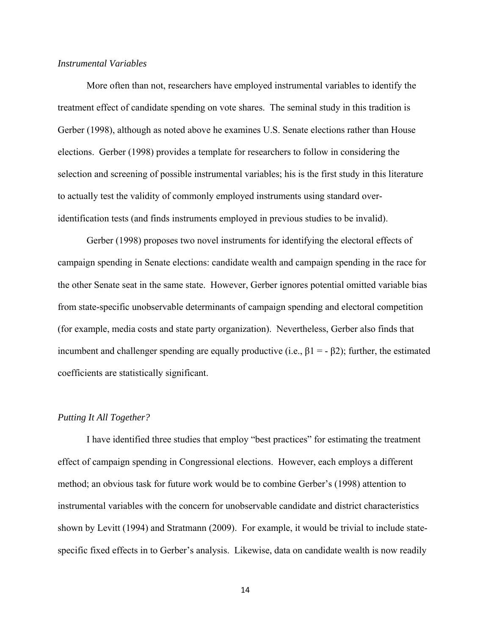## *Instrumental Variables*

 More often than not, researchers have employed instrumental variables to identify the treatment effect of candidate spending on vote shares. The seminal study in this tradition is Gerber (1998), although as noted above he examines U.S. Senate elections rather than House elections. Gerber (1998) provides a template for researchers to follow in considering the selection and screening of possible instrumental variables; his is the first study in this literature to actually test the validity of commonly employed instruments using standard overidentification tests (and finds instruments employed in previous studies to be invalid).

Gerber (1998) proposes two novel instruments for identifying the electoral effects of campaign spending in Senate elections: candidate wealth and campaign spending in the race for the other Senate seat in the same state. However, Gerber ignores potential omitted variable bias from state-specific unobservable determinants of campaign spending and electoral competition (for example, media costs and state party organization). Nevertheless, Gerber also finds that incumbent and challenger spending are equally productive (i.e.,  $\beta$ 1 = -  $\beta$ 2); further, the estimated coefficients are statistically significant.

## *Putting It All Together?*

 I have identified three studies that employ "best practices" for estimating the treatment effect of campaign spending in Congressional elections. However, each employs a different method; an obvious task for future work would be to combine Gerber's (1998) attention to instrumental variables with the concern for unobservable candidate and district characteristics shown by Levitt (1994) and Stratmann (2009). For example, it would be trivial to include statespecific fixed effects in to Gerber's analysis. Likewise, data on candidate wealth is now readily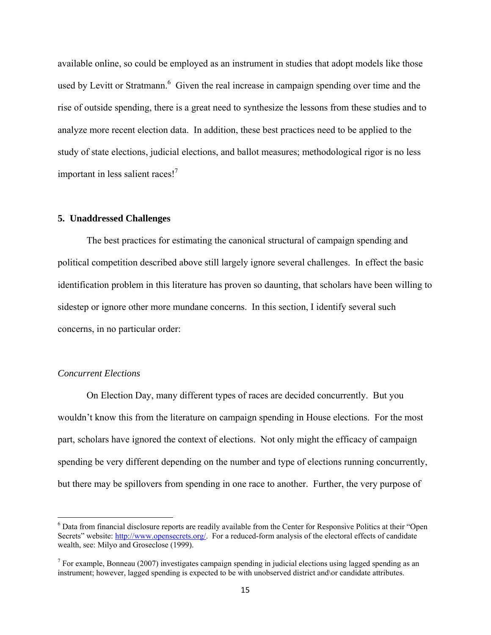available online, so could be employed as an instrument in studies that adopt models like those used by Levitt or Stratmann.<sup>6</sup> Given the real increase in campaign spending over time and the rise of outside spending, there is a great need to synthesize the lessons from these studies and to analyze more recent election data. In addition, these best practices need to be applied to the study of state elections, judicial elections, and ballot measures; methodological rigor is no less important in less salient races!<sup>7</sup>

#### **5. Unaddressed Challenges**

The best practices for estimating the canonical structural of campaign spending and political competition described above still largely ignore several challenges. In effect the basic identification problem in this literature has proven so daunting, that scholars have been willing to sidestep or ignore other more mundane concerns. In this section, I identify several such concerns, in no particular order:

#### *Concurrent Elections*

On Election Day, many different types of races are decided concurrently. But you wouldn't know this from the literature on campaign spending in House elections. For the most part, scholars have ignored the context of elections. Not only might the efficacy of campaign spending be very different depending on the number and type of elections running concurrently, but there may be spillovers from spending in one race to another. Further, the very purpose of

 6 Data from financial disclosure reports are readily available from the Center for Responsive Politics at their "Open Secrets" website: http://www.opensecrets.org/. For a reduced-form analysis of the electoral effects of candidate wealth, see: Milyo and Groseclose (1999).

<sup>&</sup>lt;sup>7</sup> For example, Bonneau (2007) investigates campaign spending in judicial elections using lagged spending as an instrument; however, lagged spending is expected to be with unobserved district and\or candidate attributes.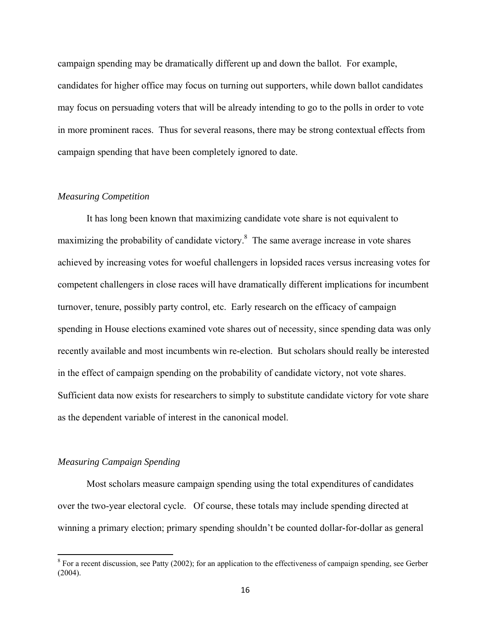campaign spending may be dramatically different up and down the ballot. For example, candidates for higher office may focus on turning out supporters, while down ballot candidates may focus on persuading voters that will be already intending to go to the polls in order to vote in more prominent races. Thus for several reasons, there may be strong contextual effects from campaign spending that have been completely ignored to date.

### *Measuring Competition*

 It has long been known that maximizing candidate vote share is not equivalent to maximizing the probability of candidate victory.<sup>8</sup> The same average increase in vote shares achieved by increasing votes for woeful challengers in lopsided races versus increasing votes for competent challengers in close races will have dramatically different implications for incumbent turnover, tenure, possibly party control, etc. Early research on the efficacy of campaign spending in House elections examined vote shares out of necessity, since spending data was only recently available and most incumbents win re-election. But scholars should really be interested in the effect of campaign spending on the probability of candidate victory, not vote shares. Sufficient data now exists for researchers to simply to substitute candidate victory for vote share as the dependent variable of interest in the canonical model.

#### *Measuring Campaign Spending*

Most scholars measure campaign spending using the total expenditures of candidates over the two-year electoral cycle. Of course, these totals may include spending directed at winning a primary election; primary spending shouldn't be counted dollar-for-dollar as general

<sup>&</sup>lt;sup>8</sup> For a recent discussion, see Patty (2002); for an application to the effectiveness of campaign spending, see Gerber (2004).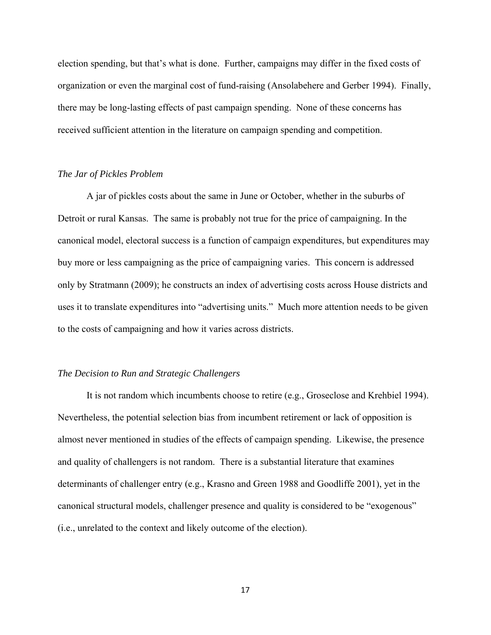election spending, but that's what is done. Further, campaigns may differ in the fixed costs of organization or even the marginal cost of fund-raising (Ansolabehere and Gerber 1994). Finally, there may be long-lasting effects of past campaign spending. None of these concerns has received sufficient attention in the literature on campaign spending and competition.

## *The Jar of Pickles Problem*

A jar of pickles costs about the same in June or October, whether in the suburbs of Detroit or rural Kansas. The same is probably not true for the price of campaigning. In the canonical model, electoral success is a function of campaign expenditures, but expenditures may buy more or less campaigning as the price of campaigning varies. This concern is addressed only by Stratmann (2009); he constructs an index of advertising costs across House districts and uses it to translate expenditures into "advertising units." Much more attention needs to be given to the costs of campaigning and how it varies across districts.

## *The Decision to Run and Strategic Challengers*

 It is not random which incumbents choose to retire (e.g., Groseclose and Krehbiel 1994). Nevertheless, the potential selection bias from incumbent retirement or lack of opposition is almost never mentioned in studies of the effects of campaign spending. Likewise, the presence and quality of challengers is not random. There is a substantial literature that examines determinants of challenger entry (e.g., Krasno and Green 1988 and Goodliffe 2001), yet in the canonical structural models, challenger presence and quality is considered to be "exogenous" (i.e., unrelated to the context and likely outcome of the election).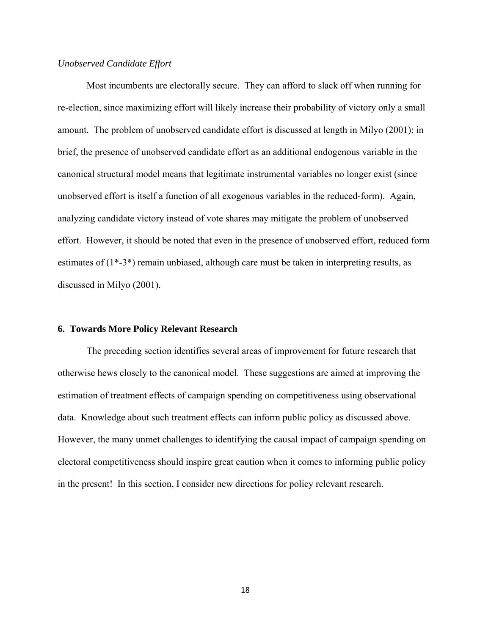## *Unobserved Candidate Effort*

Most incumbents are electorally secure. They can afford to slack off when running for re-election, since maximizing effort will likely increase their probability of victory only a small amount. The problem of unobserved candidate effort is discussed at length in Milyo (2001); in brief, the presence of unobserved candidate effort as an additional endogenous variable in the canonical structural model means that legitimate instrumental variables no longer exist (since unobserved effort is itself a function of all exogenous variables in the reduced-form). Again, analyzing candidate victory instead of vote shares may mitigate the problem of unobserved effort. However, it should be noted that even in the presence of unobserved effort, reduced form estimates of  $(1^*$ -3<sup>\*</sup>) remain unbiased, although care must be taken in interpreting results, as discussed in Milyo (2001).

## **6. Towards More Policy Relevant Research**

 The preceding section identifies several areas of improvement for future research that otherwise hews closely to the canonical model. These suggestions are aimed at improving the estimation of treatment effects of campaign spending on competitiveness using observational data. Knowledge about such treatment effects can inform public policy as discussed above. However, the many unmet challenges to identifying the causal impact of campaign spending on electoral competitiveness should inspire great caution when it comes to informing public policy in the present! In this section, I consider new directions for policy relevant research.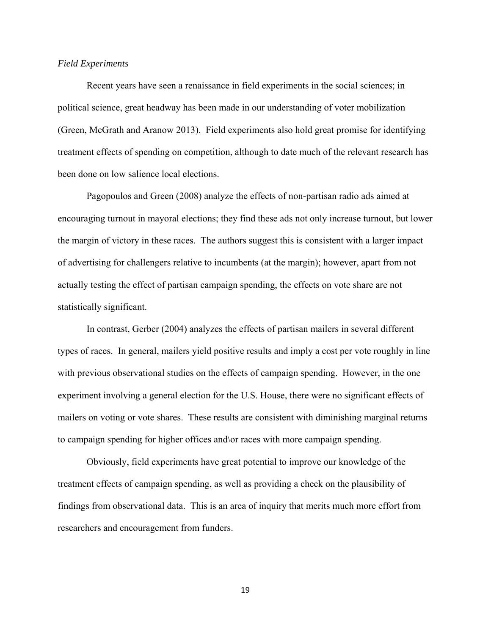#### *Field Experiments*

 Recent years have seen a renaissance in field experiments in the social sciences; in political science, great headway has been made in our understanding of voter mobilization (Green, McGrath and Aranow 2013). Field experiments also hold great promise for identifying treatment effects of spending on competition, although to date much of the relevant research has been done on low salience local elections.

Pagopoulos and Green (2008) analyze the effects of non-partisan radio ads aimed at encouraging turnout in mayoral elections; they find these ads not only increase turnout, but lower the margin of victory in these races. The authors suggest this is consistent with a larger impact of advertising for challengers relative to incumbents (at the margin); however, apart from not actually testing the effect of partisan campaign spending, the effects on vote share are not statistically significant.

In contrast, Gerber (2004) analyzes the effects of partisan mailers in several different types of races. In general, mailers yield positive results and imply a cost per vote roughly in line with previous observational studies on the effects of campaign spending. However, in the one experiment involving a general election for the U.S. House, there were no significant effects of mailers on voting or vote shares. These results are consistent with diminishing marginal returns to campaign spending for higher offices and\or races with more campaign spending.

Obviously, field experiments have great potential to improve our knowledge of the treatment effects of campaign spending, as well as providing a check on the plausibility of findings from observational data. This is an area of inquiry that merits much more effort from researchers and encouragement from funders.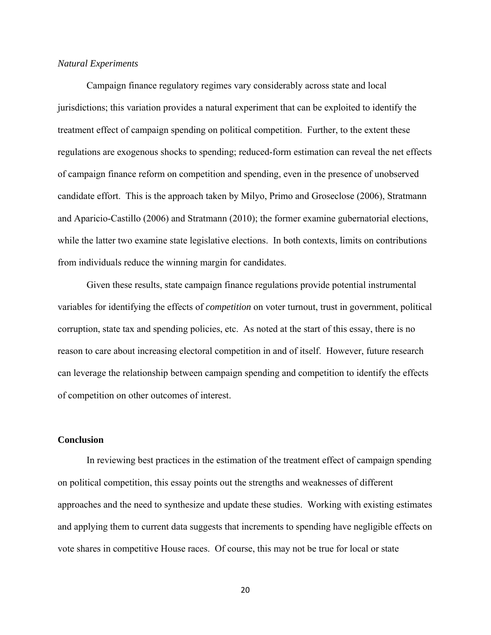## *Natural Experiments*

 Campaign finance regulatory regimes vary considerably across state and local jurisdictions; this variation provides a natural experiment that can be exploited to identify the treatment effect of campaign spending on political competition. Further, to the extent these regulations are exogenous shocks to spending; reduced-form estimation can reveal the net effects of campaign finance reform on competition and spending, even in the presence of unobserved candidate effort. This is the approach taken by Milyo, Primo and Groseclose (2006), Stratmann and Aparicio-Castillo (2006) and Stratmann (2010); the former examine gubernatorial elections, while the latter two examine state legislative elections. In both contexts, limits on contributions from individuals reduce the winning margin for candidates.

 Given these results, state campaign finance regulations provide potential instrumental variables for identifying the effects of *competition* on voter turnout, trust in government, political corruption, state tax and spending policies, etc. As noted at the start of this essay, there is no reason to care about increasing electoral competition in and of itself. However, future research can leverage the relationship between campaign spending and competition to identify the effects of competition on other outcomes of interest.

## **Conclusion**

 In reviewing best practices in the estimation of the treatment effect of campaign spending on political competition, this essay points out the strengths and weaknesses of different approaches and the need to synthesize and update these studies. Working with existing estimates and applying them to current data suggests that increments to spending have negligible effects on vote shares in competitive House races. Of course, this may not be true for local or state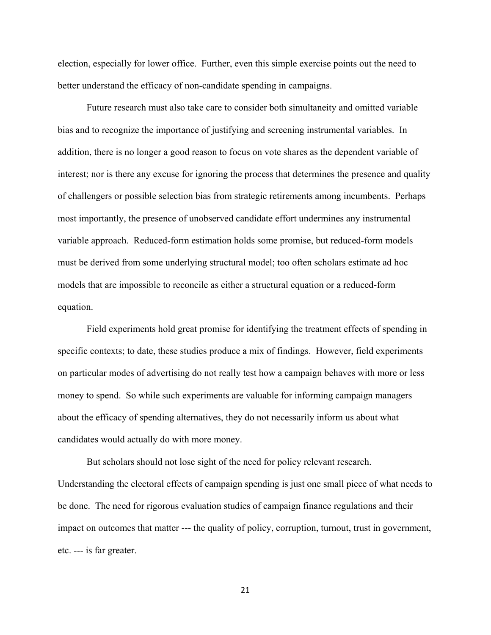election, especially for lower office. Further, even this simple exercise points out the need to better understand the efficacy of non-candidate spending in campaigns.

 Future research must also take care to consider both simultaneity and omitted variable bias and to recognize the importance of justifying and screening instrumental variables. In addition, there is no longer a good reason to focus on vote shares as the dependent variable of interest; nor is there any excuse for ignoring the process that determines the presence and quality of challengers or possible selection bias from strategic retirements among incumbents. Perhaps most importantly, the presence of unobserved candidate effort undermines any instrumental variable approach. Reduced-form estimation holds some promise, but reduced-form models must be derived from some underlying structural model; too often scholars estimate ad hoc models that are impossible to reconcile as either a structural equation or a reduced-form equation.

 Field experiments hold great promise for identifying the treatment effects of spending in specific contexts; to date, these studies produce a mix of findings. However, field experiments on particular modes of advertising do not really test how a campaign behaves with more or less money to spend. So while such experiments are valuable for informing campaign managers about the efficacy of spending alternatives, they do not necessarily inform us about what candidates would actually do with more money.

But scholars should not lose sight of the need for policy relevant research. Understanding the electoral effects of campaign spending is just one small piece of what needs to be done. The need for rigorous evaluation studies of campaign finance regulations and their impact on outcomes that matter --- the quality of policy, corruption, turnout, trust in government, etc. --- is far greater.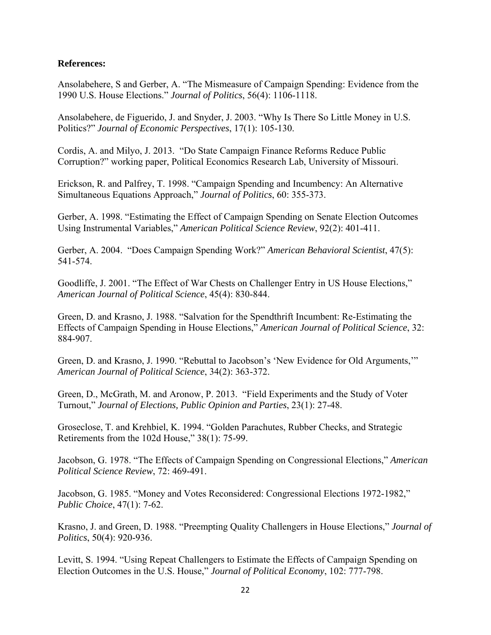# **References:**

Ansolabehere, S and Gerber, A. "The Mismeasure of Campaign Spending: Evidence from the 1990 U.S. House Elections." *Journal of Politics*, 56(4): 1106-1118.

Ansolabehere, de Figuerido, J. and Snyder, J. 2003. "Why Is There So Little Money in U.S. Politics?" *Journal of Economic Perspectives*, 17(1): 105-130.

Cordis, A. and Milyo, J. 2013. "Do State Campaign Finance Reforms Reduce Public Corruption?" working paper, Political Economics Research Lab, University of Missouri.

Erickson, R. and Palfrey, T. 1998. "Campaign Spending and Incumbency: An Alternative Simultaneous Equations Approach," *Journal of Politics*, 60: 355-373.

Gerber, A. 1998. "Estimating the Effect of Campaign Spending on Senate Election Outcomes Using Instrumental Variables," *American Political Science Review*, 92(2): 401-411.

Gerber, A. 2004. "Does Campaign Spending Work?" *American Behavioral Scientist*, 47(5): 541-574.

Goodliffe, J. 2001. "The Effect of War Chests on Challenger Entry in US House Elections," *American Journal of Political Science*, 45(4): 830-844.

Green, D. and Krasno, J. 1988. "Salvation for the Spendthrift Incumbent: Re-Estimating the Effects of Campaign Spending in House Elections," *American Journal of Political Science*, 32: 884-907.

Green, D. and Krasno, J. 1990. "Rebuttal to Jacobson's 'New Evidence for Old Arguments,'" *American Journal of Political Science*, 34(2): 363-372.

Green, D., McGrath, M. and Aronow, P. 2013. "Field Experiments and the Study of Voter Turnout," *Journal of Elections, Public Opinion and Parties*, 23(1): 27-48.

Groseclose, T. and Krehbiel, K. 1994. "Golden Parachutes, Rubber Checks, and Strategic Retirements from the 102d House," 38(1): 75-99.

Jacobson, G. 1978. "The Effects of Campaign Spending on Congressional Elections," *American Political Science Review*, 72: 469-491.

Jacobson, G. 1985. "Money and Votes Reconsidered: Congressional Elections 1972-1982," *Public Choice*, 47(1): 7-62.

Krasno, J. and Green, D. 1988. "Preempting Quality Challengers in House Elections," *Journal of Politics*, 50(4): 920-936.

Levitt, S. 1994. "Using Repeat Challengers to Estimate the Effects of Campaign Spending on Election Outcomes in the U.S. House," *Journal of Political Economy*, 102: 777-798.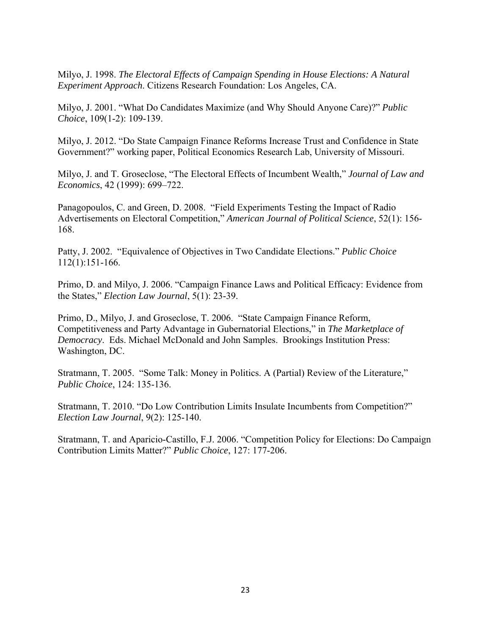Milyo, J. 1998. *The Electoral Effects of Campaign Spending in House Elections: A Natural Experiment Approach*. Citizens Research Foundation: Los Angeles, CA.

Milyo, J. 2001. "What Do Candidates Maximize (and Why Should Anyone Care)?" *Public Choice*, 109(1-2): 109-139.

Milyo, J. 2012. "Do State Campaign Finance Reforms Increase Trust and Confidence in State Government?" working paper, Political Economics Research Lab, University of Missouri.

Milyo, J. and T. Groseclose, "The Electoral Effects of Incumbent Wealth," *Journal of Law and Economics*, 42 (1999): 699–722.

Panagopoulos, C. and Green, D. 2008. "Field Experiments Testing the Impact of Radio Advertisements on Electoral Competition," *American Journal of Political Science*, 52(1): 156- 168.

Patty, J. 2002. "Equivalence of Objectives in Two Candidate Elections." *Public Choice* 112(1):151-166.

Primo, D. and Milyo, J. 2006. "Campaign Finance Laws and Political Efficacy: Evidence from the States," *Election Law Journal*, 5(1): 23-39.

Primo, D., Milyo, J. and Groseclose, T. 2006. "State Campaign Finance Reform, Competitiveness and Party Advantage in Gubernatorial Elections," in *The Marketplace of Democracy*. Eds. Michael McDonald and John Samples. Brookings Institution Press: Washington, DC.

Stratmann, T. 2005. "Some Talk: Money in Politics. A (Partial) Review of the Literature," *Public Choice*, 124: 135-136.

Stratmann, T. 2010. "Do Low Contribution Limits Insulate Incumbents from Competition?" *Election Law Journal*, 9(2): 125-140.

Stratmann, T. and Aparicio-Castillo, F.J. 2006. "Competition Policy for Elections: Do Campaign Contribution Limits Matter?" *Public Choice*, 127: 177-206.